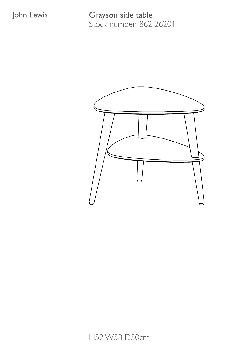Grayson side table Stock number: 862 26201

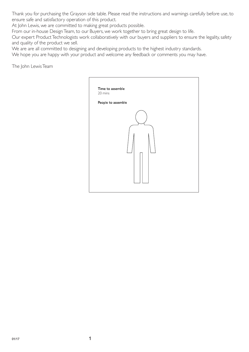Thank you for purchasing the Grayson side table. Please read the instructions and warnings carefully before use, to ensure safe and satisfactory operation of this product.

At John Lewis, we are committed to making great products possible.

From our in-house Design Team, to our Buyers, we work together to bring great design to life.

Our expert Product Technologists work collaboratively with our buyers and suppliers to ensure the legality, safety and quality of the product we sell.

We are are all committed to designing and developing products to the highest industry standards.

We hope you are happy with your product and welcome any feedback or comments you may have.

The John Lewis Team

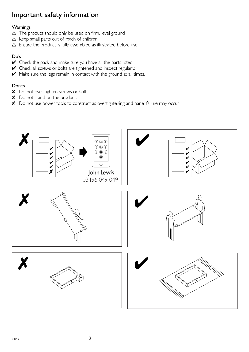## Important safety information

### Warnings

- A The product should only be used on firm, level ground.
- △ Keep small parts out of reach of children.
- $\triangle$  Ensure the product is fully assembled as illustrated before use.

### Do's

- Check the pack and make sure you have all the parts listed.
- Check all screws or bolts are tightened and inspect regularly
- Make sure the legs remain in contact with the ground at all times.

### Don'ts

- X Do not over tighten screws or bolts.
- X Do not stand on the product.
- X Do not use power tools to construct as overtightening and panel failure may occur.

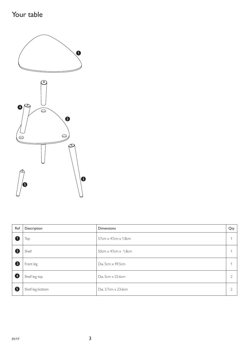# Your table



| Ref            | Description      | <b>Dimensions</b>               | Qty            |
|----------------|------------------|---------------------------------|----------------|
| $\blacksquare$ | Top              | $57cm \times 47cm \times 1.8cm$ | $\overline{ }$ |
| 2              | Shelf            | $50cm \times 47cm \times 1.8cm$ |                |
| €              | Front leg        | Dia. 5cm $\times$ 49.5cm        | $\overline{ }$ |
| ❹              | Shelf leg top    | Dia. 5cm $\times$ 25.6cm        | $\overline{2}$ |
| 6              | Shelf leg bottom | Dia. 3.7cm × 23.6cm             | $\mathcal{D}$  |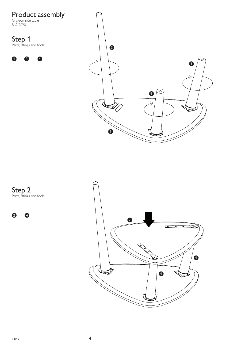

Step 2 Parts, fittings and tools

 $\bullet$ 

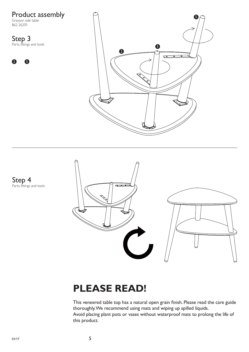Product assembly 5 Grayson side table 862 26201 Step 3 Parts, fittings and tools  $\bullet$  $\ddot{\mathbf{2}}$  $\sqrt{2}$ 2 5



# **PLEASE READ!**

This veneered table top has a natural open grain finish. Please read the care guide thoroughly. We recommend using mats and wiping up spilled liquids. Avoid placing plant pots or vases without waterproof mats to prolong the life of this product.

Step 4 Parts, fittings and tools